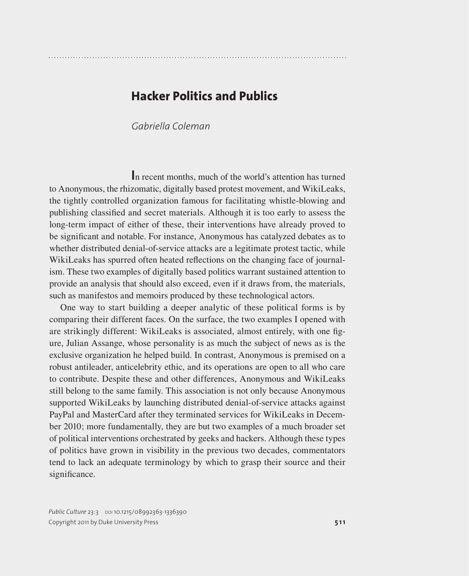## **Hacker Politics and Publics**

*Gabriella Coleman*

**I**n recent months, much of the world's attention has turned to Anonymous, the rhizomatic, digitally based protest movement, and WikiLeaks, the tightly controlled organization famous for facilitating whistle-blowing and publishing classified and secret materials. Although it is too early to assess the long-term impact of either of these, their interventions have already proved to be significant and notable. For instance, Anonymous has catalyzed debates as to whether distributed denial-of-service attacks are a legitimate protest tactic, while WikiLeaks has spurred often heated reflections on the changing face of journalism. These two examples of digitally based politics warrant sustained attention to provide an analysis that should also exceed, even if it draws from, the materials, such as manifestos and memoirs produced by these technological actors.

One way to start building a deeper analytic of these political forms is by comparing their different faces. On the surface, the two examples I opened with are strikingly different: WikiLeaks is associated, almost entirely, with one figure, Julian Assange, whose personality is as much the subject of news as is the exclusive organization he helped build. In contrast, Anonymous is premised on a robust antileader, anticelebrity ethic, and its operations are open to all who care to contribute. Despite these and other differences, Anonymous and WikiLeaks still belong to the same family. This association is not only because Anonymous supported WikiLeaks by launching distributed denial-of-service attacks against PayPal and MasterCard after they terminated services for WikiLeaks in December 2010; more fundamentally, they are but two examples of a much broader set of political interventions orchestrated by geeks and hackers. Although these types of politics have grown in visibility in the previous two decades, commentators tend to lack an adequate terminology by which to grasp their source and their significance.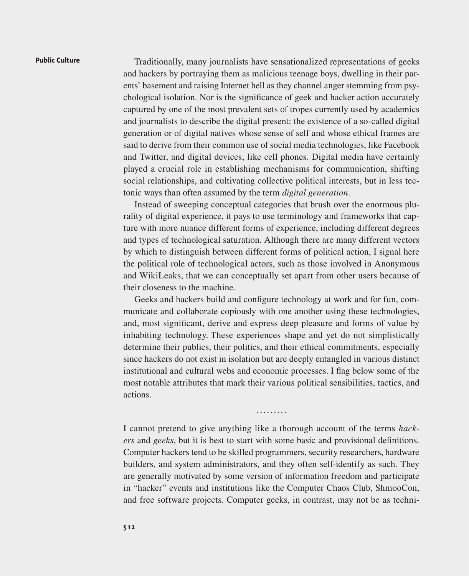## **Public Culture**

Traditionally, many journalists have sensationalized representations of geeks and hackers by portraying them as malicious teenage boys, dwelling in their parents' basement and raising Internet hell as they channel anger stemming from psychological isolation. Nor is the significance of geek and hacker action accurately captured by one of the most prevalent sets of tropes currently used by academics and journalists to describe the digital present: the existence of a so-called digital generation or of digital natives whose sense of self and whose ethical frames are said to derive from their common use of social media technologies, like Facebook and Twitter, and digital devices, like cell phones. Digital media have certainly played a crucial role in establishing mechanisms for communication, shifting social relationships, and cultivating collective political interests, but in less tectonic ways than often assumed by the term *digital generation*.

Instead of sweeping conceptual categories that brush over the enormous plurality of digital experience, it pays to use terminology and frameworks that capture with more nuance different forms of experience, including different degrees and types of technological saturation. Although there are many different vectors by which to distinguish between different forms of political action, I signal here the political role of technological actors, such as those involved in Anonymous and WikiLeaks, that we can conceptually set apart from other users because of their closeness to the machine.

Geeks and hackers build and configure technology at work and for fun, communicate and collaborate copiously with one another using these technologies, and, most significant, derive and express deep pleasure and forms of value by inhabiting technology. These experiences shape and yet do not simplistically determine their publics, their politics, and their ethical commitments, especially since hackers do not exist in isolation but are deeply entangled in various distinct institutional and cultural webs and economic processes. I flag below some of the most notable attributes that mark their various political sensibilities, tactics, and actions.

.........

I cannot pretend to give anything like a thorough account of the terms *hackers* and *geeks*, but it is best to start with some basic and provisional definitions. Computer hackers tend to be skilled programmers, security researchers, hardware builders, and system administrators, and they often self-identify as such. They are generally motivated by some version of information freedom and participate in "hacker" events and institutions like the Computer Chaos Club, ShmooCon, and free software projects. Computer geeks, in contrast, may not be as techni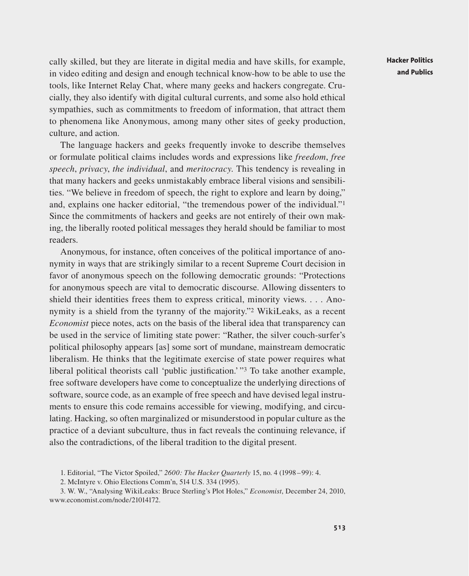cally skilled, but they are literate in digital media and have skills, for example, in video editing and design and enough technical know-how to be able to use the tools, like Internet Relay Chat, where many geeks and hackers congregate. Crucially, they also identify with digital cultural currents, and some also hold ethical sympathies, such as commitments to freedom of information, that attract them to phenomena like Anonymous, among many other sites of geeky production, culture, and action.

The language hackers and geeks frequently invoke to describe themselves or formulate political claims includes words and expressions like *freedom*, *free speech*, *privacy*, *the individual*, and *meritocracy*. This tendency is revealing in that many hackers and geeks unmistakably embrace liberal visions and sensibilities. "We believe in freedom of speech, the right to explore and learn by doing," and, explains one hacker editorial, "the tremendous power of the individual."1 Since the commitments of hackers and geeks are not entirely of their own making, the liberally rooted political messages they herald should be familiar to most readers.

Anonymous, for instance, often conceives of the political importance of anonymity in ways that are strikingly similar to a recent Supreme Court decision in favor of anonymous speech on the following democratic grounds: "Protections for anonymous speech are vital to democratic discourse. Allowing dissenters to shield their identities frees them to express critical, minority views. . . . Anonymity is a shield from the tyranny of the majority."2 WikiLeaks, as a recent *Economist* piece notes, acts on the basis of the liberal idea that transparency can be used in the service of limiting state power: "Rather, the silver couch-surfer's political philosophy appears [as] some sort of mundane, mainstream democratic liberalism. He thinks that the legitimate exercise of state power requires what liberal political theorists call 'public justification.' "3 To take another example, free software developers have come to conceptualize the underlying directions of software, source code, as an example of free speech and have devised legal instruments to ensure this code remains accessible for viewing, modifying, and circulating. Hacking, so often marginalized or misunderstood in popular culture as the practice of a deviant subculture, thus in fact reveals the continuing relevance, if also the contradictions, of the liberal tradition to the digital present.

**Hacker Politics and Publics**

<sup>1.</sup> Editorial, "The Victor Spoiled," *2600: The Hacker Quarterly* 15, no. 4 (1998 –99): 4.

<sup>2.</sup> McIntyre v. Ohio Elections Comm'n, 514 U.S. 334 (1995).

<sup>3.</sup> W. W., "Analysing WikiLeaks: Bruce Sterling's Plot Holes," *Economist*, December 24, 2010, www.economist.com/node/21014172.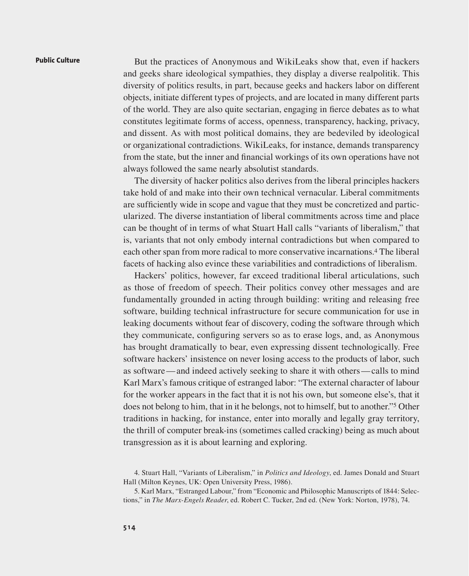## **Public Culture**

But the practices of Anonymous and WikiLeaks show that, even if hackers and geeks share ideological sympathies, they display a diverse realpolitik. This diversity of politics results, in part, because geeks and hackers labor on different objects, initiate different types of projects, and are located in many different parts of the world. They are also quite sectarian, engaging in fierce debates as to what constitutes legitimate forms of access, openness, transparency, hacking, privacy, and dissent. As with most political domains, they are bedeviled by ideological or organizational contradictions. WikiLeaks, for instance, demands transparency from the state, but the inner and financial workings of its own operations have not always followed the same nearly absolutist standards.

The diversity of hacker politics also derives from the liberal principles hackers take hold of and make into their own technical vernacular. Liberal commitments are sufficiently wide in scope and vague that they must be concretized and particularized. The diverse instantiation of liberal commitments across time and place can be thought of in terms of what Stuart Hall calls "variants of liberalism," that is, variants that not only embody internal contradictions but when compared to each other span from more radical to more conservative incarnations.4 The liberal facets of hacking also evince these variabilities and contradictions of liberalism.

Hackers' politics, however, far exceed traditional liberal articulations, such as those of freedom of speech. Their politics convey other messages and are fundamentally grounded in acting through building: writing and releasing free software, building technical infrastructure for secure communication for use in leaking documents without fear of discovery, coding the software through which they communicate, configuring servers so as to erase logs, and, as Anonymous has brought dramatically to bear, even expressing dissent technologically. Free software hackers' insistence on never losing access to the products of labor, such as software—and indeed actively seeking to share it with others—calls to mind Karl Marx's famous critique of estranged labor: "The external character of labour for the worker appears in the fact that it is not his own, but someone else's, that it does not belong to him, that in it he belongs, not to himself, but to another."5 Other traditions in hacking, for instance, enter into morally and legally gray territory, the thrill of computer break-ins (sometimes called cracking) being as much about transgression as it is about learning and exploring.

<sup>4.</sup> Stuart Hall, "Variants of Liberalism," in *Politics and Ideology*, ed. James Donald and Stuart Hall (Milton Keynes, UK: Open University Press, 1986).

<sup>5.</sup> Karl Marx, "Estranged Labour," from "Economic and Philosophic Manuscripts of 1844: Selections," in *The Marx-Engels Reader*, ed. Robert C. Tucker, 2nd ed. (New York: Norton, 1978), 74.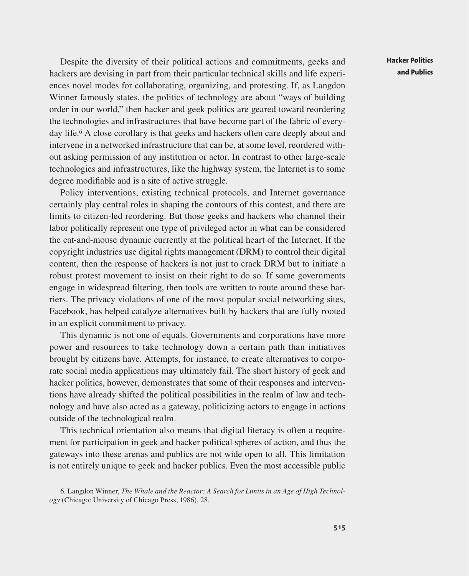Despite the diversity of their political actions and commitments, geeks and hackers are devising in part from their particular technical skills and life experiences novel modes for collaborating, organizing, and protesting. If, as Langdon Winner famously states, the politics of technology are about "ways of building order in our world," then hacker and geek politics are geared toward reordering the technologies and infrastructures that have become part of the fabric of everyday life.6 A close corollary is that geeks and hackers often care deeply about and intervene in a networked infrastructure that can be, at some level, reordered without asking permission of any institution or actor. In contrast to other large-scale technologies and infrastructures, like the highway system, the Internet is to some degree modifiable and is a site of active struggle.

Policy interventions, existing technical protocols, and Internet governance certainly play central roles in shaping the contours of this contest, and there are limits to citizen-led reordering. But those geeks and hackers who channel their labor politically represent one type of privileged actor in what can be considered the cat-and-mouse dynamic currently at the political heart of the Internet. If the copyright industries use digital rights management (DRM) to control their digital content, then the response of hackers is not just to crack DRM but to initiate a robust protest movement to insist on their right to do so. If some governments engage in widespread filtering, then tools are written to route around these barriers. The privacy violations of one of the most popular social networking sites, Facebook, has helped catalyze alternatives built by hackers that are fully rooted in an explicit commitment to privacy.

This dynamic is not one of equals. Governments and corporations have more power and resources to take technology down a certain path than initiatives brought by citizens have. Attempts, for instance, to create alternatives to corporate social media applications may ultimately fail. The short history of geek and hacker politics, however, demonstrates that some of their responses and interventions have already shifted the political possibilities in the realm of law and technology and have also acted as a gateway, politicizing actors to engage in actions outside of the technological realm.

This technical orientation also means that digital literacy is often a requirement for participation in geek and hacker political spheres of action, and thus the gateways into these arenas and publics are not wide open to all. This limitation is not entirely unique to geek and hacker publics. Even the most accessible public

**Hacker Politics and Publics**

<sup>6.</sup> Langdon Winner, *The Whale and the Reactor: A Search for Limits in an Age of High Technology* (Chicago: University of Chicago Press, 1986), 28.